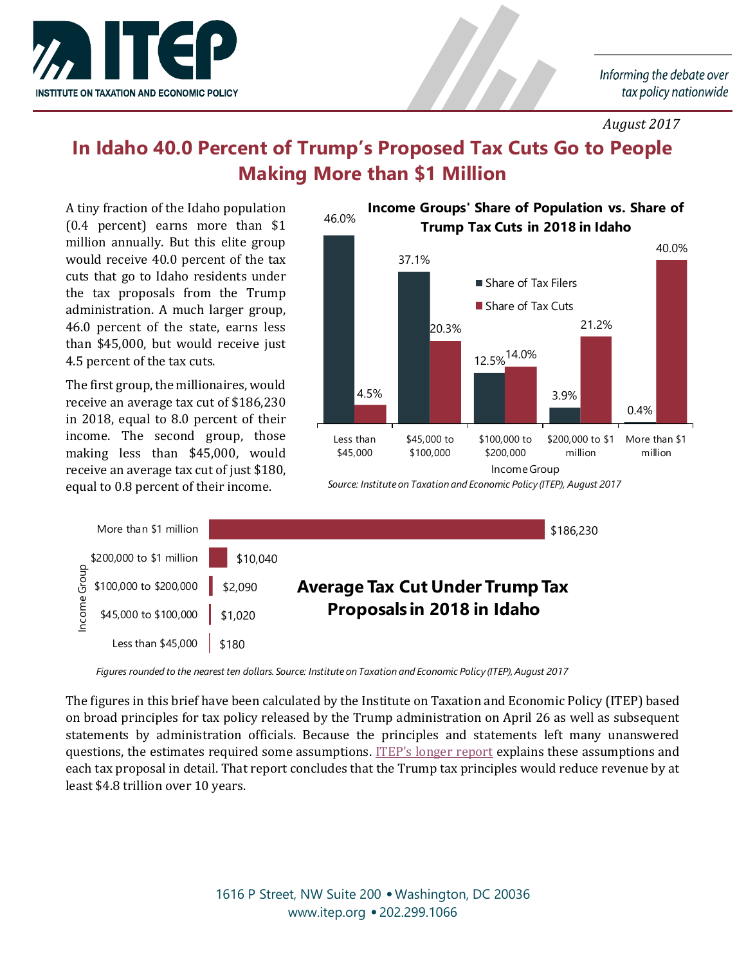

*August 2017*

## **In Idaho 40.0 Percent of Trump's Proposed Tax Cuts Go to People Making More than \$1 Million**

A tiny fraction of the Idaho population (0.4 percent) earns more than \$1 million annually. But this elite group would receive 40.0 percent of the tax cuts that go to Idaho residents under the tax proposals from the Trump administration. A much larger group, 46.0 percent of the state, earns less than \$45,000, but would receive just 4.5 percent of the tax cuts.

The first group, the millionaires, would receive an average tax cut of \$186,230 in 2018, equal to 8.0 percent of their income. The second group, those making less than \$45,000, would receive an average tax cut of just \$180, equal to 0.8 percent of their income.



*Source: Institute on Taxation and Economic Policy (ITEP), August 2017*



*Figures rounded to the nearest ten dollars. Source: Institute on Taxation and Economic Policy (ITEP), August 2017*

The figures in this brief have been calculated by the Institute on Taxation and Economic Policy (ITEP) based on broad principles for tax policy released by the Trump administration on April 26 as well as subsequent statements by administration officials. Because the principles and statements left many unanswered questions, the estimates required some assumptions. ITEP'[s longer report](https://itep.org/trumptaxprelim/) explains these assumptions and each tax proposal in detail. That report concludes that the Trump tax principles would reduce revenue by at least \$4.8 trillion over 10 years.